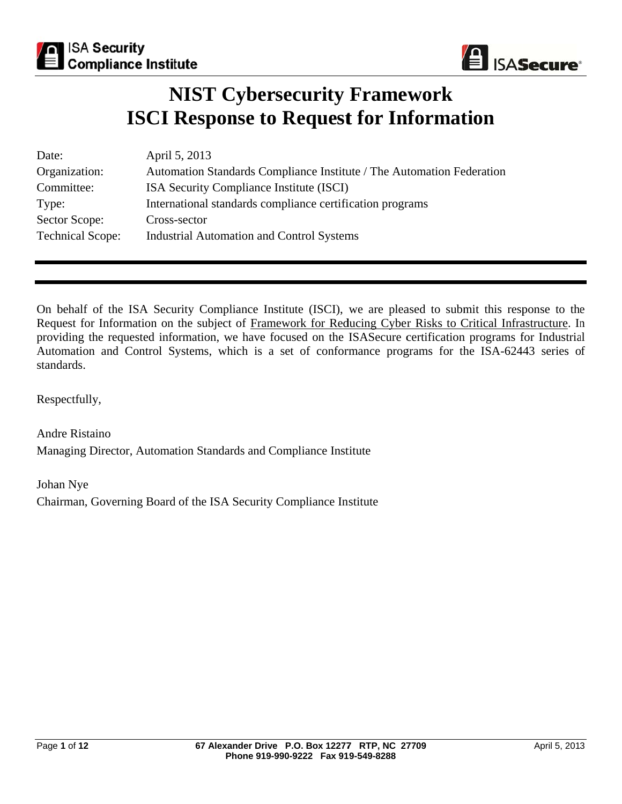

# **NIST Cybersecurity Framework ISCI Response to Request for Information**

| Date:                   | April 5, 2013                                                         |
|-------------------------|-----------------------------------------------------------------------|
| Organization:           | Automation Standards Compliance Institute / The Automation Federation |
| Committee:              | ISA Security Compliance Institute (ISCI)                              |
| Type:                   | International standards compliance certification programs             |
| Sector Scope:           | Cross-sector                                                          |
| <b>Technical Scope:</b> | <b>Industrial Automation and Control Systems</b>                      |

On behalf of the ISA Security Compliance Institute (ISCI), we are pleased to submit this response to the Request for Information on the subject of Framework for Reducing Cyber Risks to Critical Infrastructure. In providing the requested information, we have focused on the ISASecure certification programs for Industrial Automation and Control Systems, which is a set of conformance programs for the ISA-62443 series of standards.

Respectfully,

Andre Ristaino Managing Director, Automation Standards and Compliance Institute

Johan Nye Chairman, Governing Board of the ISA Security Compliance Institute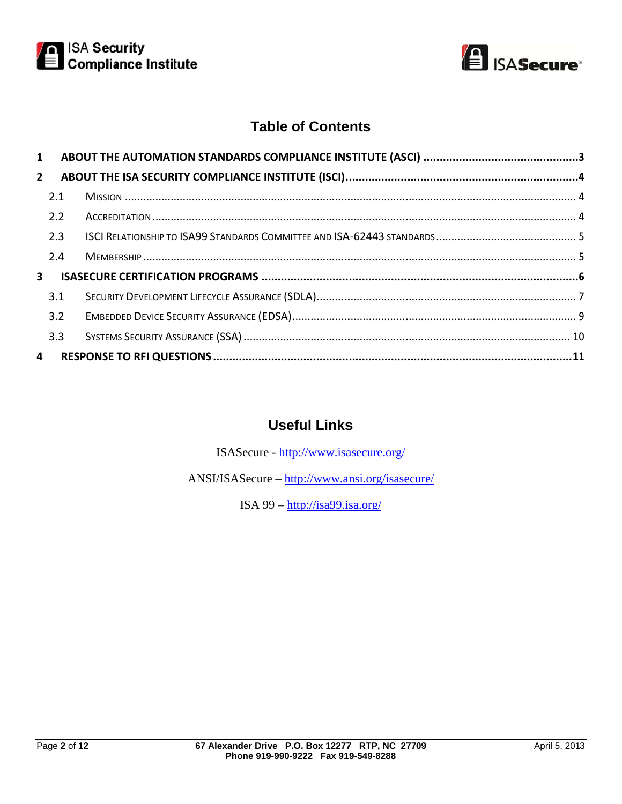

## **Table of Contents**

| 2.1<br>2.2<br>2.3<br>2.4<br>3.1<br>3.2<br>3.3 |  |
|-----------------------------------------------|--|

## **Useful Links**

ISASecure - http://www.isasecure.org/

ANSI/ISASecure – http://www.ansi.org/isasecure/

ISA 99 –  $\frac{http://isa99.isa.org/}{http://isa99.isa.org/}$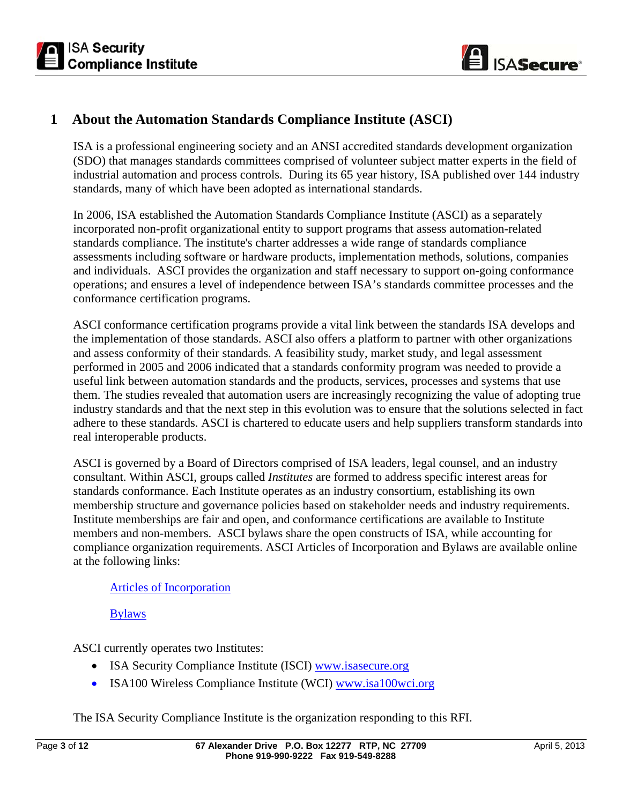

## **1 About the Automation Standards Compliance Institute (ASCI)**

f (SDO) that manages standards committees comprised of volunteer subject matter experts in the field of ISA is a professional engineering society and an ANSI accredited standards development organization industrial automation and process controls. During its 65 year history, ISA published over 144 industry standards, many of which have been adopted as international standards.

In 2006, ISA established the Automation Standards Compliance Institute (ASCI) as a separately incorporated non-profit organizational entity to support programs that assess automation-related standards compliance. The institute's charter addresses a wide range of standards compliance assessments including software or hardware products, implementation methods, solutions, companies and individuals. ASCI provides the organization and staff necessary to support on-going conformance operations; and ensures a level of independence between ISA's standards committee processes and the conformance certification programs.

and assess conformity of their standards. A feasibility study, market study, and legal assessment ASCI conformance certification programs provide a vital link between the standards ISA develops and the implementation of those standards. ASCI also offers a platform to partner with other organizations performed in 2005 and 2006 indicated that a standards conformity program was needed to provide a useful link between automation standards and the products, services, processes and systems that use them. The studies revealed that automation users are increasingly recognizing the value of adopting true industry standards and that the next step in this evolution was to ensure that the solutions selected in fact adhere to these standards. ASCI is chartered to educate users and help suppliers transform standards into real interoperable products.

r consultant. Within ASCI, groups called *Institutes* are formed to address specific interest areas for ASCI is governed by a Board of Directors comprised of ISA leaders, legal counsel, and an industry standards conformance. Each Institute operates as an industry consortium, establishing its own membership structure and governance policies based on stakeholder needs and industry requirements. Institute memberships are fair and open, and conformance certifications are available to Institute members and non-members. ASCI bylaws share the open constructs of ISA, while accounting for compliance organization requirements. ASCI Articles of Incorporation and Bylaws are available online at the following links:

#### Articles of Incorporation

Bylaws

ASCI currently operates two Institutes:

- ISA Security Compliance Institute (ISCI) www.isasecure.org
- ISA100 Wireless Compliance Institute (WCI) www.isa100wci.org

The ISA Security Compliance Institute is the organization responding to this RFI.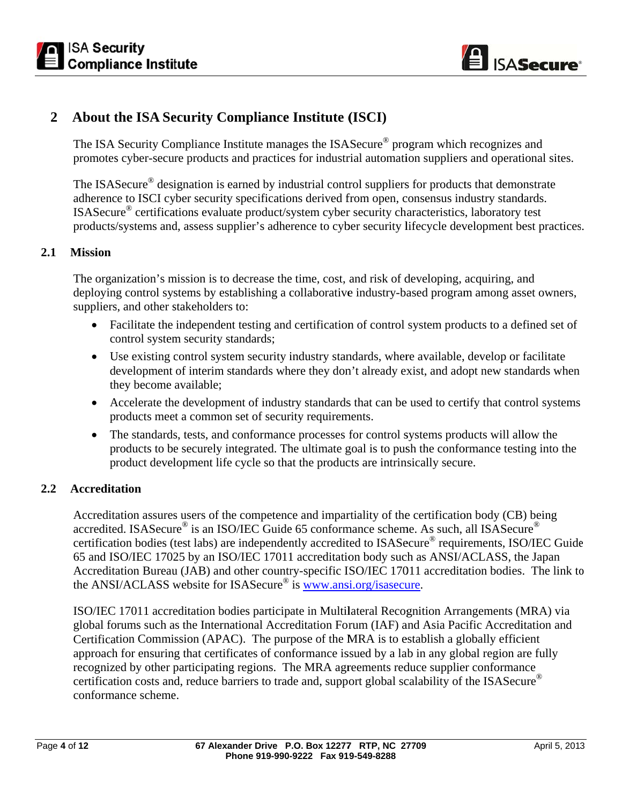

#### **2 About the ISA Security Compliance Institute (ISCI)**

The ISA Security Compliance Institute manages the ISASecure® program which recognizes and promotes cyber-secure products and practices for industrial automation suppliers and operational sites.

The ISAS ecure<sup>®</sup> designation is earned by industrial control suppliers for products that demonstrate adherence to ISCI cyber security specifications derived from open, consensus industry standards. ISASecure® certifications evaluate product/system cyber security characteristics , laboratory test products/systems and, assess supplier's adherence to cyber security lifecycle development best practices.

#### **2.1 Mission**

The organization's mission is to decrease the time, cost, and risk of developing, acquiring, and deploying control systems by establishing a collaborative industry-based program among asset owners, suppliers, and other stakeholders to:

- Facilitate the independent testing and certification of control system products to a defined set of control system security standards;
- Use existing control system security industry standards, where available, develop or facilitate development of interim standards where they don't already exist, and adopt new standards when they become available;
- Accelerate the development of industry standards that can be used to certify that control systems products meet a common set of security requirements.
- The standards, tests, and conformance processes for control systems products will allow the products to be securely integrated. The ultimate goal is to push the conformance testing into the product development life cycle so that the products are intrinsically secure.

#### **2.2 Accreditation**

Accreditation assures users of the competence and impartiality of the certification body (CB) being accredited. ISASecure<sup>®</sup> is an ISO/IEC Guide 65 conformance scheme. As such, all ISASecure<sup>®</sup> certification bodies (test labs) are independently accredited to ISASecure® requirements, ISO/IEC Guide 65 and ISO/IEC 17025 by an ISO/IEC 17011 accreditation body such as ANSI/ACLASS, the Japan Accreditation Bureau (JAB) and other country-specific ISO/IEC 17011 accreditation bodies. The link to the ANSI/ACLASS website for ISASecure® is www.ansi.org/isasecure.

Certification Commission (APAC). The purpose of the MRA is to establish a globally efficient ISO/IEC 17011 accreditation bodies participate in Multilateral Recognition Arrangements (MRA) via global forums such as the International Accreditation Forum (IAF) and Asia Pacific Accreditation and approach for ensuring that certificates of conformance issued by a lab in any global region are fully recognized by other participating regions. The MRA agreements reduce supplier conformance certification costs and, reduce barriers to trade and, support global scalability of the ISASecure® conformance scheme.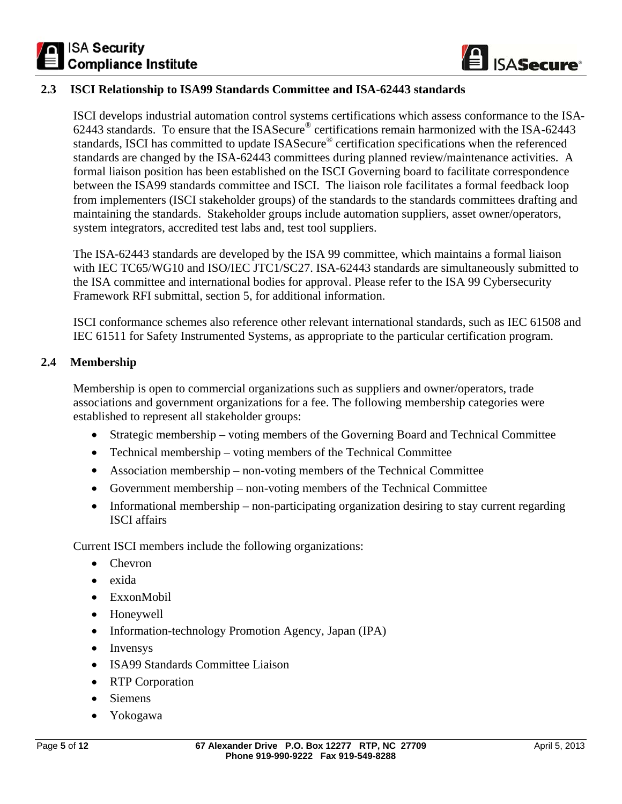

### **2.3 ISCI Relationship to ISA99 Standards Committee and ISA-62443 standards**

formal liaison position has been established on the ISCI Governing board to facilitate correspondence ISCI develops industrial automation control systems certifications which assess conformance to the ISA-62443 standards. To ensure that the ISASecure® certifications remain harmonized with the ISA-62443 standards, ISCI has committed to update ISASecure<sup>®</sup> certification specifications when the referenced standards are changed by the ISA-62443 committees during planned review/maintenance activities. A between the ISA99 standards committee and ISCI. The liaison role facilitates a formal feedback loop from implementers (ISCI stakeholder groups) of the standards to the standards committees drafting and maintaining the standards. Stakeholder groups include automation suppliers, asset owner/operators, system integrators, accredited test labs and, test tool suppliers.

Framework RFI submittal, section 5, for additional information. The ISA-62443 standards are developed by the ISA 99 committee, which maintains a formal liaison with IEC TC65/WG10 and ISO/IEC JTC1/SC27. ISA-62443 standards are simultaneously submitted to the ISA committee and international bodies for approval. Please refer to the ISA 99 Cybersecurity

ISCI conformance schemes also reference other relevant international standards, such as IEC 61508 and IEC 61511 for Safety Instrumented Systems, as appropriate to the particular certification program.

#### **2.4 Membership**

Membership is open to commercial organizations such as suppliers and owner/operators, trade associations and government organizations for a fee. The following membership categories were established to represent all stakeholder groups:

- Strategic membership voting members of the Governing Board and Technical Committee
- Technical membership voting members of the Technical Committee
- Association membership non-voting members of the Technical Committee
- Government membership non-voting members of the Technical Committee
- Informational membership non-participating organization desiring to stay current regarding ISCI affairs

Current ISCI members include the following organizations:

- Chevron
- exida
- ExxonMobil
- Honeywell
- Information-technology Promotion Agency, Japan (IPA)
- Invensys
- ISA99 Standards Committee Liaison
- RTP Corporation
- Siemens
- Yokogawa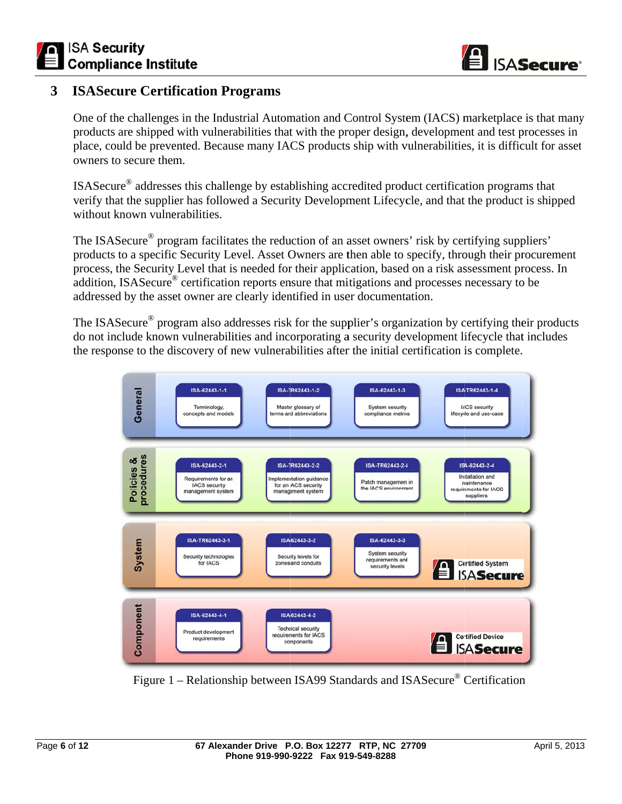

## **3 ISASecure Certification Programs**

One of the challenges in the Industrial Automation and Control System (IACS) marketplace is that many products are shipped with vulnerabilities that with the proper design, development and test processes in place, could be prevented. Because many IA CS products ship with vulnerabilities, it is difficult for asset owners to secure them.

ISASecure® addresses this challenge by establishing accredited product certification programs that verify that the supplier has followed a Security Development Lifecycle, and that the product is shipped without known vulnerabilities.

The ISAS ecure<sup>®</sup> program facilitates the reduction of an asset owners' risk by certifying suppliers' products to a specific Security Level. Asset Owners are then able to specify, through their procurement process, the Security Level that is needed for their application, based on a risk assessment process. In addition, ISASecure<sup>®</sup> certification reports ensure that mitigations and processes necessary to be addressed by the asset owner areclearly identified in user documentation.

The ISASecure® program also addresses risk for the supplier's organization by certifying their products do not include known vulnerabilities and inc orporating a security development lifecycle that includes the response to the discovery of new vulnerabilities after the initial certification is complete.



Figure 1 – Relationship between ISA99 Standards and ISASecure® Certification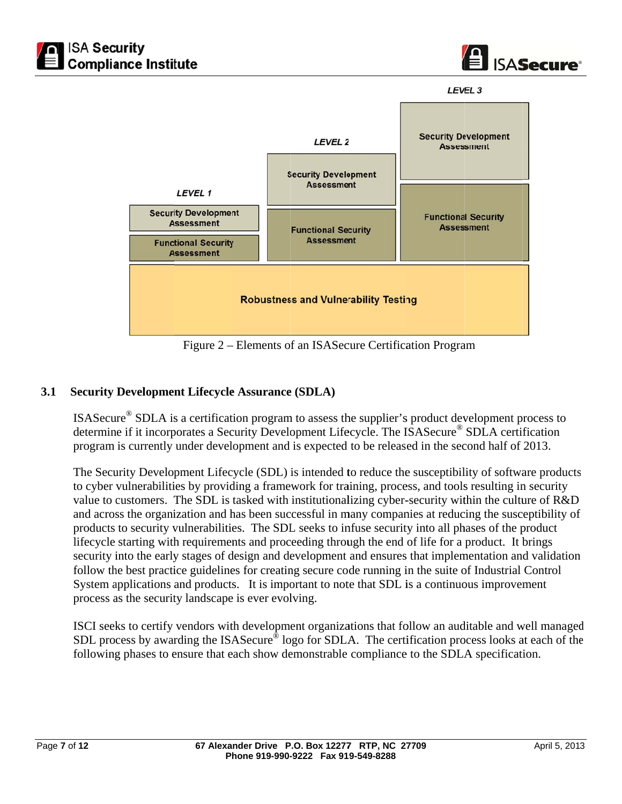

LEVEL<sub>3</sub>



Figure 2 – Elements of an ISAS ecure Certification Program

### **3.1 Security Development Lifecycle Assurance (SDLA)**

ISASecure<sup>®</sup> SDLA is a certification program to assess the supplier's product development process to determine if it incorporates a Security Development Lifecycle. The ISASecure® SDLA certification program is currently under development and is expected to be released in the second half of 2013.

and across the organization and has been successful in many companies at reducing the susceptibility of The Security Development Lifecycle (SDL) is intended to reduce the susceptibility of software products to cyber vulnerabilities by providing a framework for training, process, and tools resulting in security value to customers. The SDL is tasked with institutionalizing cyber-security within the culture of R&D products to security vulnerabilities. The SDL seeks to infuse security into all phases of the product lifecycle starting with requirements and proceeding through the end of life for a product. It brings security into the early stages of design and development and ensures that implementation and validation follow the best practice guidelines for creating secure code running in the suite of Industrial Control System applications and products. It is important to note that SDL is a continuous improvement process as the security landscape is ever evolving.

 following phases to ensure that each show demonstrable compliance to the SDLA specification. ISCI seeks to certify vendors with development organizations that follow an auditable and well managed SDL process by awarding the ISASecure<sup>®</sup> logo for SDLA. The certification process looks at each of the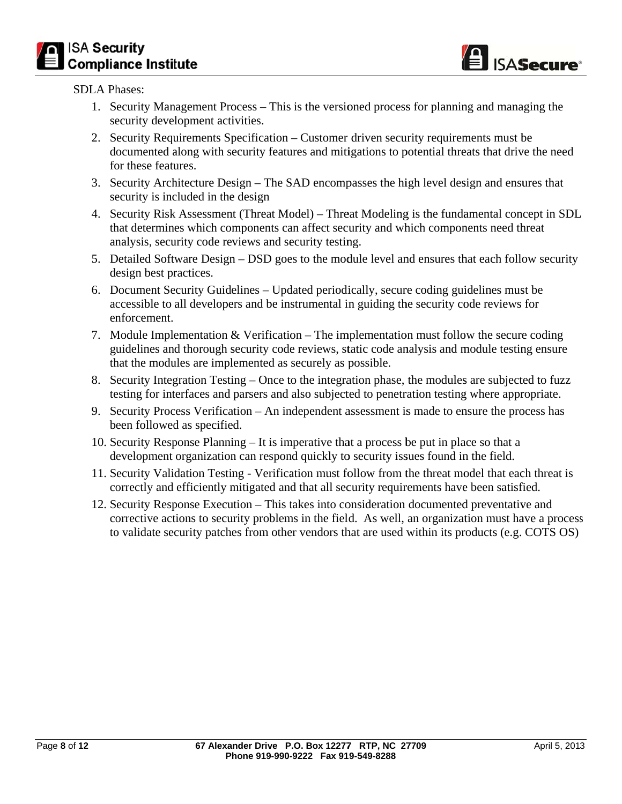

#### SDLA Phases:

- 1. Security Management Process This is the versioned process for planning and managing the security development activities.
- 2. Security Requirements Specification Customer driven security requirements must be documented along with security features and mitigations to potential threats that drive the need for these features.
- 3. Security Architecture Design The SAD encompasses the high level design and ensures that security is included in the design
- 4. Security Risk Assessment (Threat Model) Threat Modeling is the fundamental concept in SDL that determines which components can affect security and which components need threat analysis, security code reviews and security testing.
- 5. Detailed Software Design DSD goes to the module level and ensures that each follow security design best practices.
- 6. Document Security Guidelines Updated periodically, secure coding guidelines must be accessible to all developers and be instrumental in guiding the security code reviews for enforcement.
- 7. Module Implementation  $&$  Verification The implementation must follow the secure coding guidelines and thorough security code reviews, static code analysis and module testing ensure that the modules are implemented as securely as possible.
- 8. Security Integration Testing Once to the integration phase, the modules are subjected to fuzz testing for interfaces and parsers and also subjected to penetration testing where appropriate.
- 9. Security Process Verification An independent assessment is made to ensure the process has been followed as specified.
- 10. Security Response Planning It is imperative that a process be put in place so that a development organization can respond quickly to security issues found in the field.
- 11. Security Validation Testing Verification must follow from the threat model that each threat is correctly and efficiently mitigated and that all security requirements have been satisfied.
- 12. Security Response Execution This takes into consideration documented preventative and corrective actions to security problems in the field. As well, an organization must have a process to validate security patches from other vendors that are used within its products (e.g. COTS OS)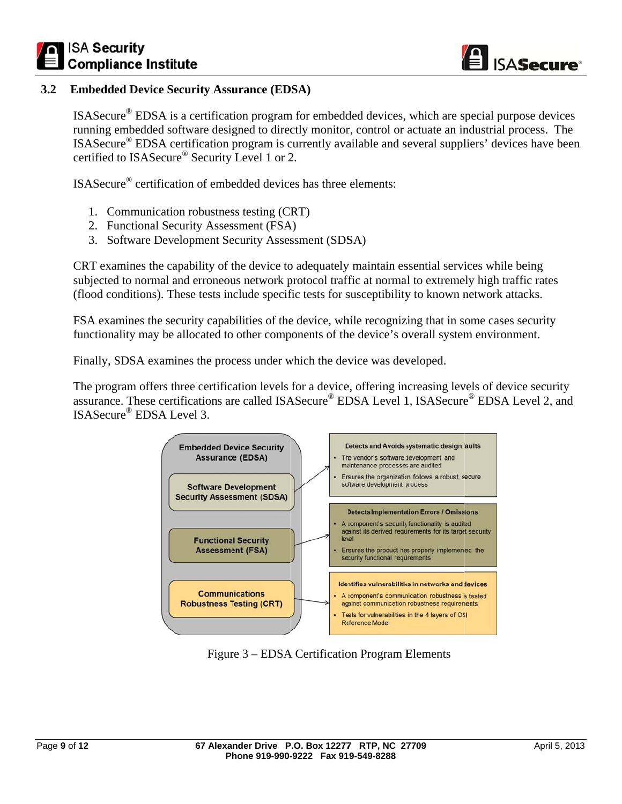

### **3.2 Embedded Device Security Assurance (EDSA)**

ISASecure® EDSA is a certification program for embedded devices, which are special purpose devices running embedded software designed to directly monitor, control or actuate an industrial process. The ISASecure® EDSA certification program is currently available and several suppliers' devices have been certified to ISASecure<sup>®</sup> Security Level 1 or 2.

ISASecure® certification of embedded devices has three elements:

- 1. Communication robustness testing (CRT)
- 2. Functional Security Assessment (FSA)
- 3. Software Development Security Assessment (SDSA)

CRT examines the capability of the device to adequately maintain essential services while being subjected to normal and erroneous network protocol traffic at normal to extremely high traffic rates (flood conditions). These tests include specific tests for susceptibility to known network attacks.

FSA examines the security capabilities of the device, while recognizing that in some cases security functionality may be allocated to other components of the device's overall system environment.

Finally, SDSA examines the process under which the device was developed.

The program offers three certification levels for a device, offering increasing levels of device security assurance. These certifications are called ISASecure® EDSA Level 1, ISASecure ® EDSA Level 2, and ISASecure® EDSA Level 3.



Figure 3 – EDSA Certification Program Elements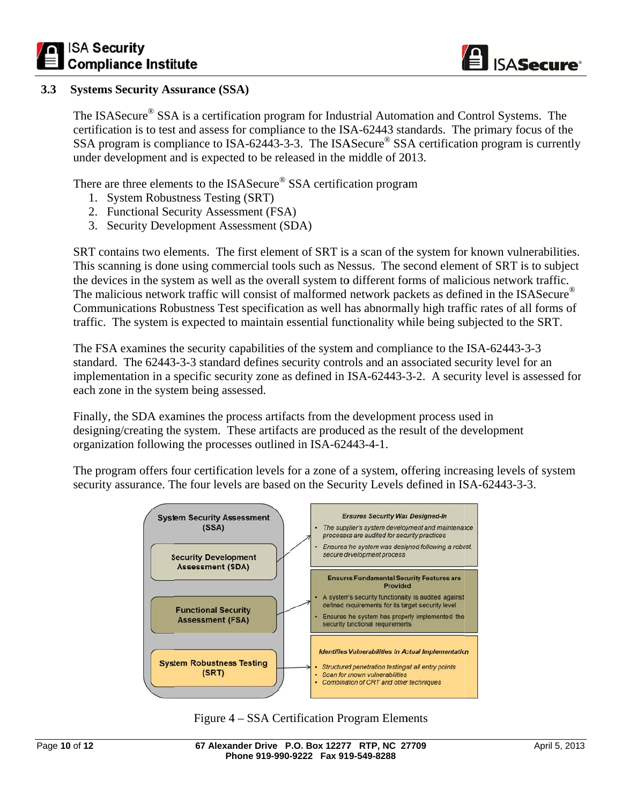

#### **3.3 Systems Security Assurance (SSA)**

The ISASecure® SSA is a certification program for Industrial Automation and Control Systems. The certification is to test and assess for compliance to the ISA-62443 standards. The primary focus of the SSA program is compliance to ISA-62443-3-3. The ISAS ecure<sup>®</sup> SSA certification program is currently under development and is expected to be released in the middle of 2013.

There are three elements to the ISASecure® SSA certification program

- 1. System Robustness Testing (SRT)
- 2. Functional Security Assessment (FSA)
- 3. Security Development Assessment (SDA)

The malicious network traffic will consist of malformed network packets as defined in the ISASecure<sup>®</sup> Communications Robustness Test specification as well has abnormally high traffic rates of all forms of SRT contains two elements. The first element of SRT is a scan of the system for known vulnerabilities. This scanning is done using commercial tools such as Nessus. The second element of SRT is to subject the devices in the system as well as the overall system to different forms of malicious network traffic. traffic. The system is expected to maintain essential functionality while being subjected to the SRT.

The FSA examines the security capabilities of the system and compliance to the ISA-62443-3-3 standard. The 62443-3-3 standard defines security controls and an associated security level for an implementation in a specific security zone as defined in ISA-62443-3-2. A security level is assessed for each zone in the system being assessed.

Finally, the SDA examines the process artifacts from the development process used in designing/creating the system. These artifacts are produced as the result of the development organization following the processes outlined in ISA-62443-4-1.

The program offers four certification levels for a zone of a system, offering increasing levels of system security assurance. The four levels are based on the Security Levels defined in ISA-62443-3-3.



![](_page_9_Figure_13.jpeg)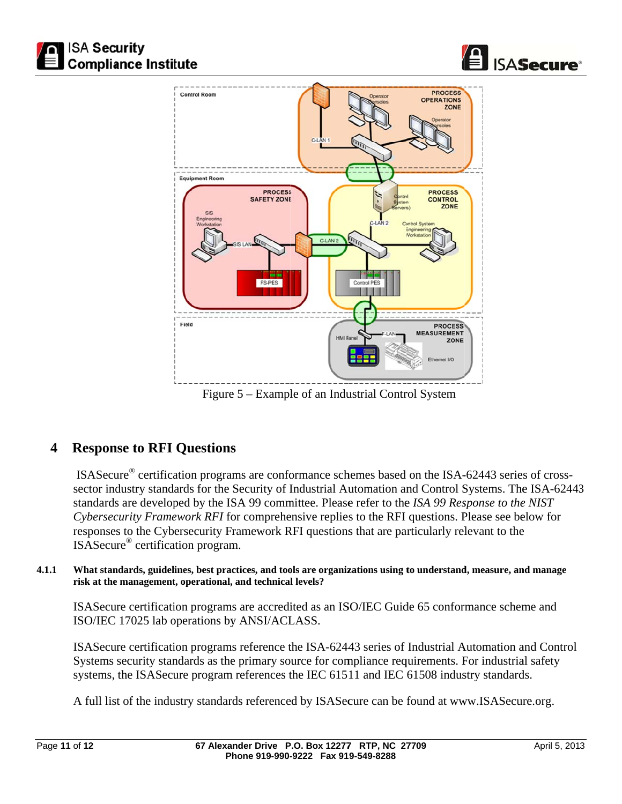![](_page_10_Picture_0.jpeg)

![](_page_10_Picture_1.jpeg)

![](_page_10_Figure_2.jpeg)

Figure 5 – Example of an Industrial Control System

## **4 Response to RFI Questions**

ISASecure® certification programs are conformance schemes based on the ISA-62443 series of crosssector industry standards for the Security of Industrial Automation and Control Systems. The ISA-62443 standards are developed by the ISA 99 committee. Please refer to the *ISA 99 Response to the NIST Cybersecurity Framework RFI* for comprehensive replies to the RFI questions. Please see below for responses to the Cybersecurity Framework RFI questions that are particularly relevant to the ISASecure® certification program.

**4.1.1 What standards, guidelines, best practices, and tools are organizations using to understand, measure, and manage**  risk at the management, operational, and technical levels?

ISASecure certification programs are accredited as an ISO/IEC Guide 65 conformance scheme and ISO/IEC 17025 lab operations by ANSI/ACLASS.

ISASecure certification programs reference the ISA-62443 series of Industrial Automation and Control Systems security standards as the primary source for compliance requirements. For industrial safety systems, the ISASecure program references the IEC 61511 and IEC 61508 industry standards.

A full list of the industry standards referenced by ISASecure can be found at www.ISASecure.org.